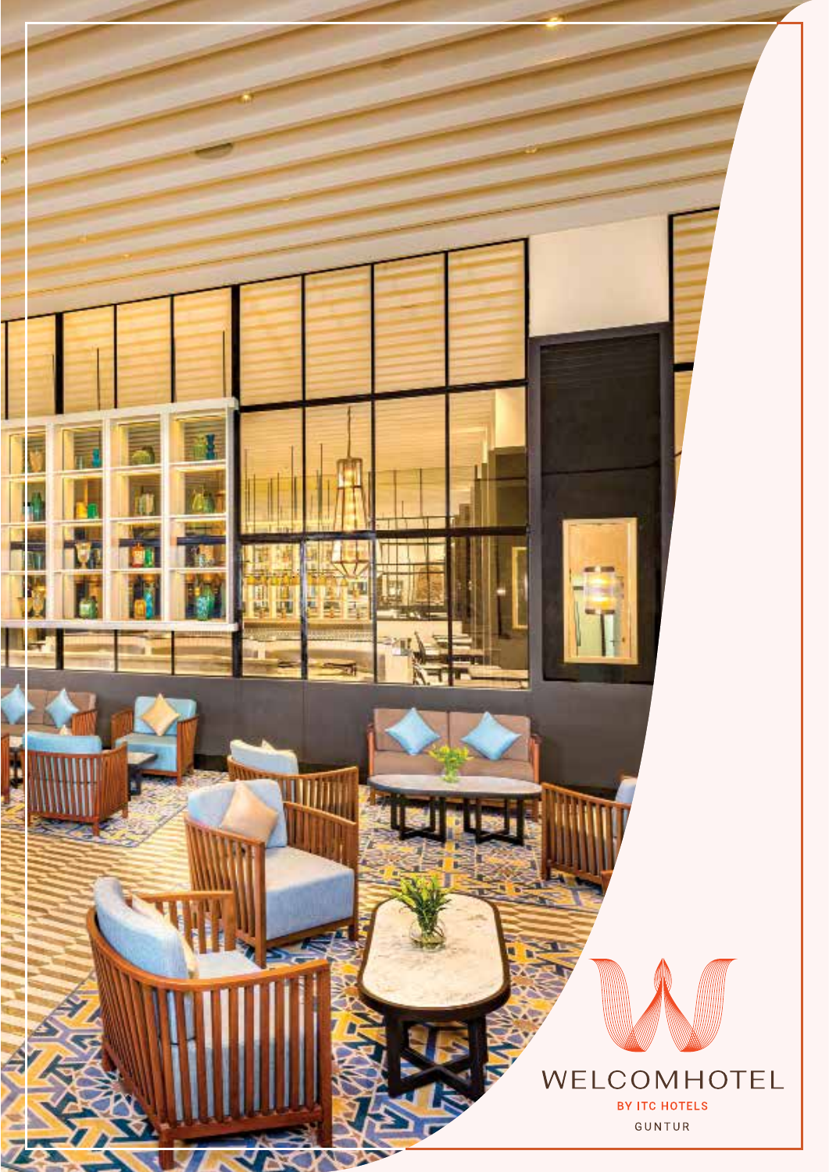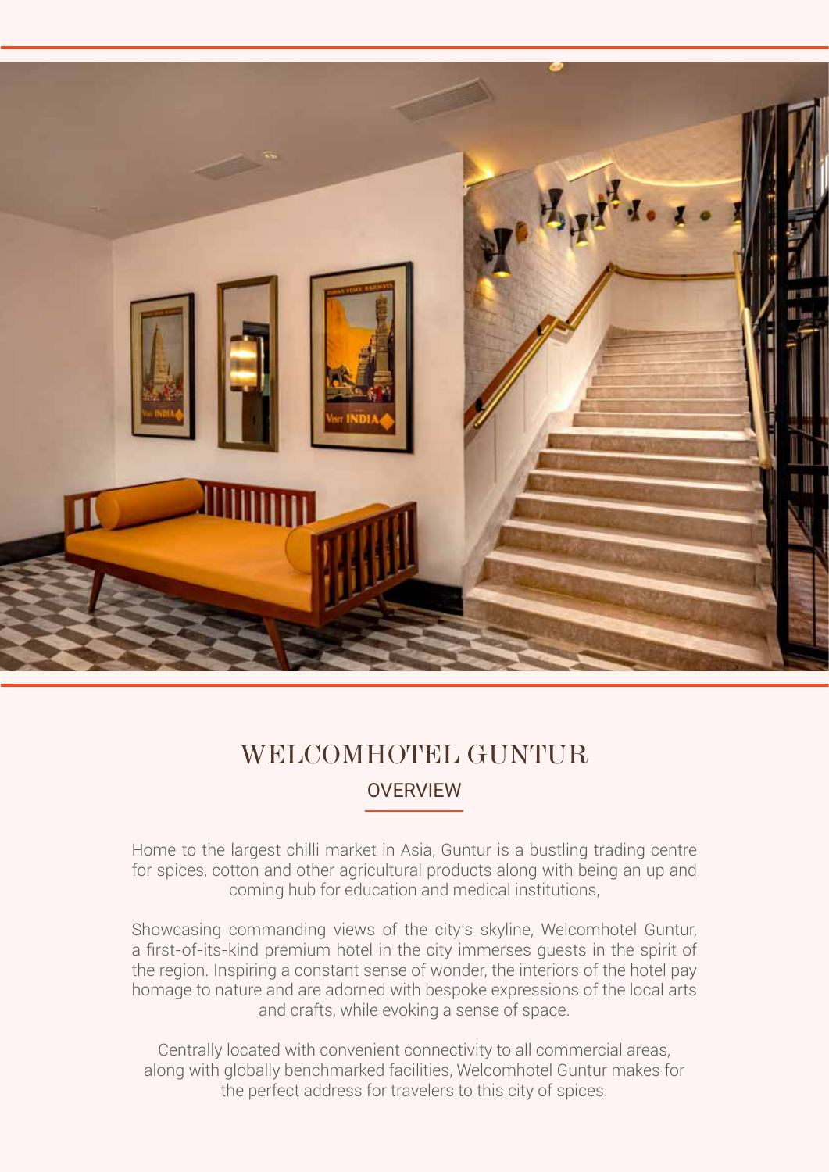

### **OVERVIEW** WELCOMHOTEL GUNTUR.

Home to the largest chilli market in Asia, Guntur is a bustling trading centre for spices, cotton and other agricultural products along with being an up and coming hub for education and medical institutions,

Showcasing commanding views of the city's skyline, Welcomhotel Guntur, a first-of-its-kind premium hotel in the city immerses guests in the spirit of the region. Inspiring a constant sense of wonder, the interiors of the hotel pay homage to nature and are adorned with bespoke expressions of the local arts and crafts, while evoking a sense of space.

Centrally located with convenient connectivity to all commercial areas, along with globally benchmarked facilities, Welcomhotel Guntur makes for the perfect address for travelers to this city of spices.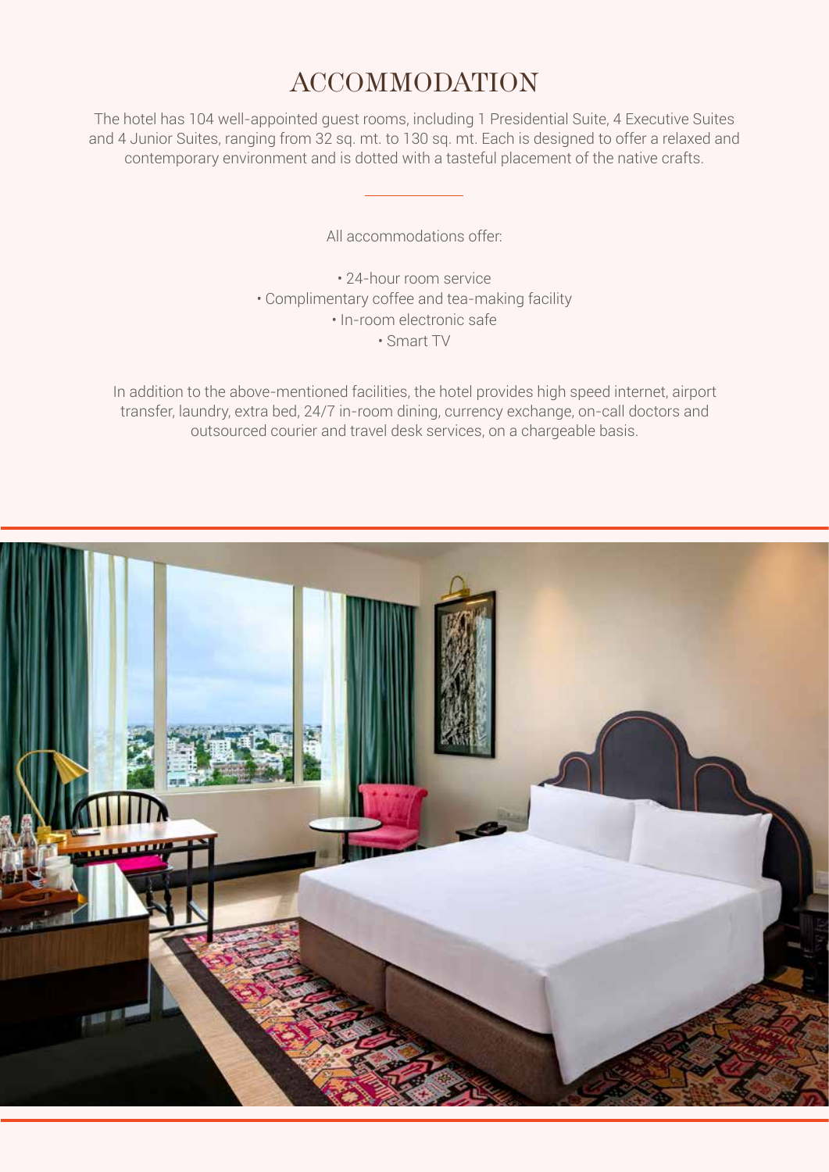### ACCOMMODATION

The hotel has 104 well-appointed guest rooms, including 1 Presidential Suite, 4 Executive Suites and 4 Junior Suites, ranging from 32 sq. mt. to 130 sq. mt. Each is designed to offer a relaxed and contemporary environment and is dotted with a tasteful placement of the native crafts.

All accommodations offer:

• 24-hour room service • Complimentary coffee and tea-making facility • In-room electronic safe • Smart TV

In addition to the above-mentioned facilities, the hotel provides high speed internet, airport transfer, laundry, extra bed, 24/7 in-room dining, currency exchange, on-call doctors and outsourced courier and travel desk services, on a chargeable basis.

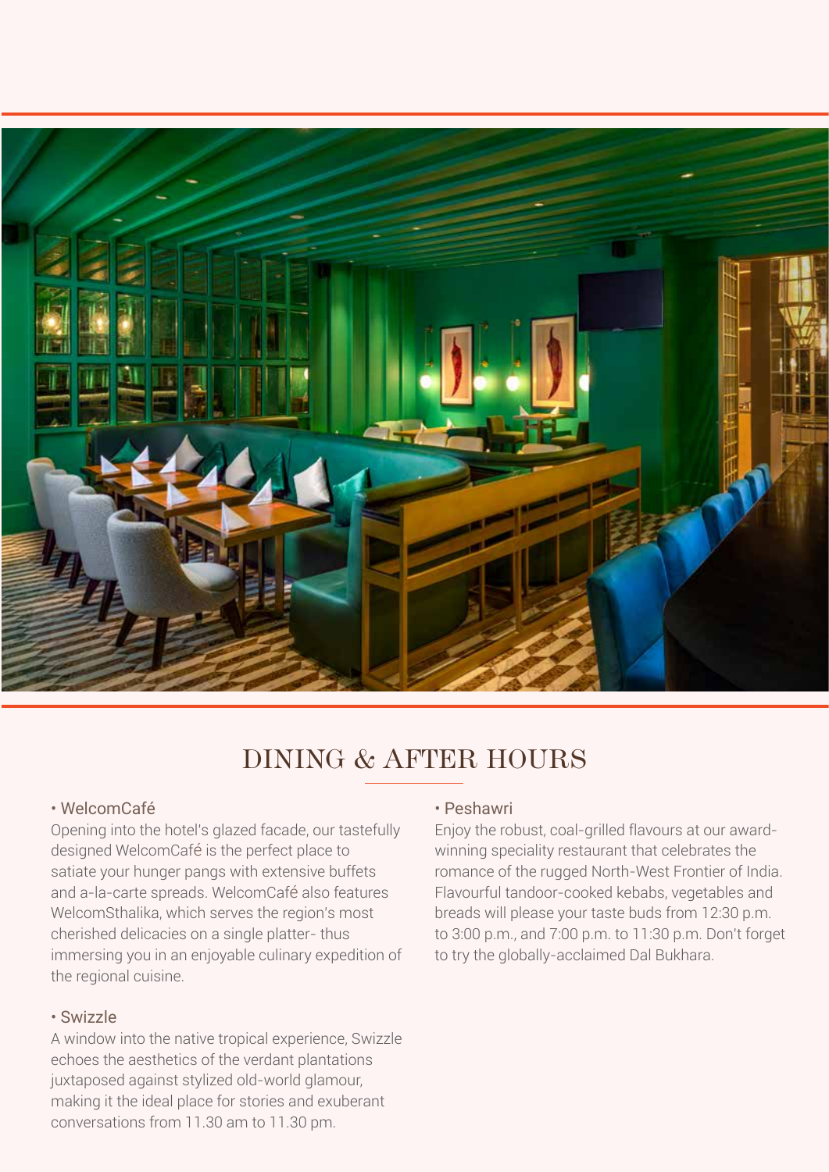

# DINING & AFTER HOURS

#### • WelcomCafé

Opening into the hotel's glazed facade, our tastefully designed WelcomCafé is the perfect place to satiate your hunger pangs with extensive buffets and a-la-carte spreads. WelcomCafé also features WelcomSthalika, which serves the region's most cherished delicacies on a single platter- thus immersing you in an enjoyable culinary expedition of the regional cuisine.

#### • Swizzle

A window into the native tropical experience, Swizzle echoes the aesthetics of the verdant plantations juxtaposed against stylized old-world glamour, making it the ideal place for stories and exuberant conversations from 11.30 am to 11.30 pm.

#### • Peshawri

Enjoy the robust, coal-grilled flavours at our awardwinning speciality restaurant that celebrates the romance of the rugged North-West Frontier of India. Flavourful tandoor-cooked kebabs, vegetables and breads will please your taste buds from 12:30 p.m. to 3:00 p.m., and 7:00 p.m. to 11:30 p.m. Don't forget to try the globally-acclaimed Dal Bukhara.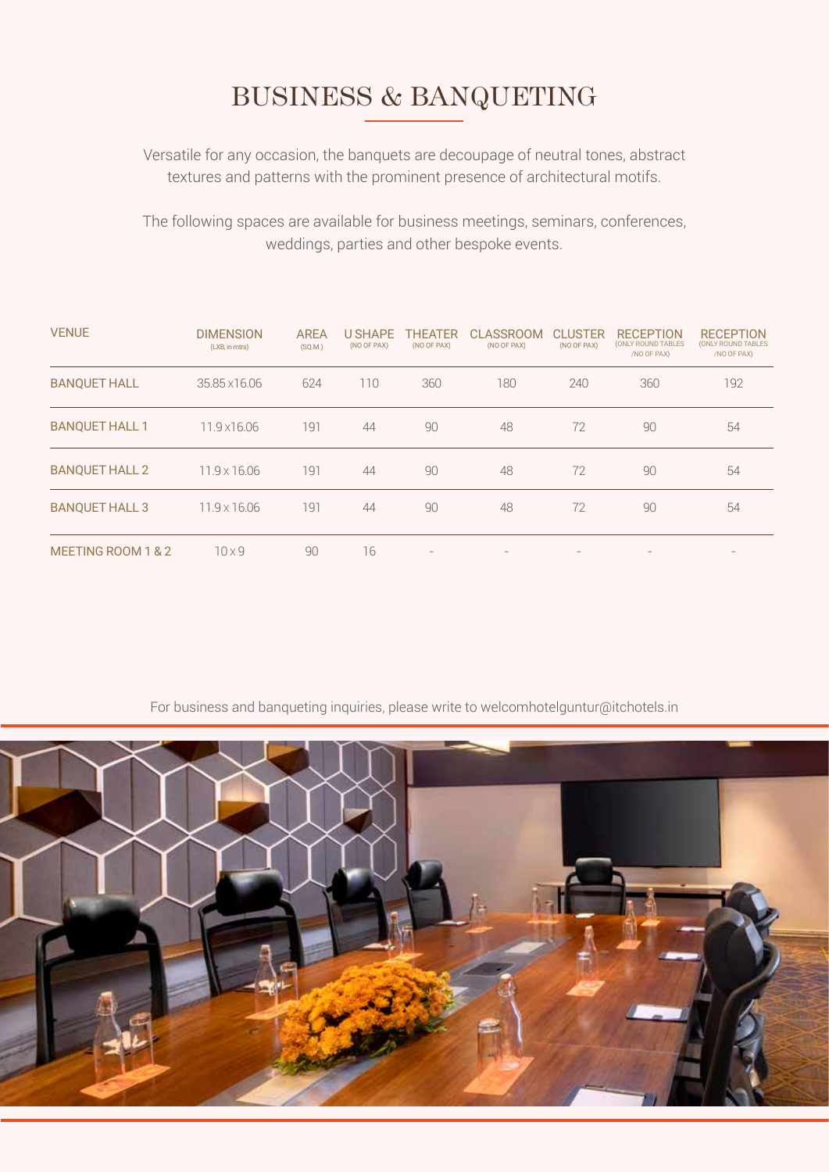# BUSINESS & BANQUETING

Versatile for any occasion, the banquets are decoupage of neutral tones, abstract textures and patterns with the prominent presence of architectural motifs.

The following spaces are available for business meetings, seminars, conferences, weddings, parties and other bespoke events.

| <b>VENUE</b>          | <b>DIMENSION</b><br>(LXB, in mtrs) | <b>AREA</b><br>(SQ.M.) | <b>U SHAPE</b><br>(NO OF PAX) | <b>THEATER</b><br>(NO OF PAX)                                             | <b>CLASSROOM</b><br>(NO OF PAX) | <b>CLUSTER</b><br>(NO OF PAX) | <b>RECEPTION</b><br>(ONLY ROUND TABLES<br>/NO OF PAX) | <b>RECEPTION</b><br>(ONLY ROUND TABLES<br>/NO OF PAX) |
|-----------------------|------------------------------------|------------------------|-------------------------------|---------------------------------------------------------------------------|---------------------------------|-------------------------------|-------------------------------------------------------|-------------------------------------------------------|
| <b>BANQUET HALL</b>   | 35.85 x 16.06                      | 624                    | 110                           | 360                                                                       | 180                             | 240                           | 360                                                   | 192                                                   |
| <b>BANQUET HALL 1</b> | 11.9 x 16.06                       | 191                    | 44                            | 90                                                                        | 48                              | 72                            | 90                                                    | 54                                                    |
| <b>BANQUET HALL 2</b> | 11.9 x 16.06                       | 191                    | 44                            | 90                                                                        | 48                              | 72                            | 90                                                    | 54                                                    |
| <b>BANOUET HALL 3</b> | $11.9 \times 16.06$                | 191                    | 44                            | 90                                                                        | 48                              | 72                            | 90                                                    | 54                                                    |
| MEETING ROOM 1 & 2    | $10\times9$                        | 90                     | 16                            | $\hspace{1.0cm} \rule{1.5cm}{0.15cm} \hspace{1.0cm} \rule{1.5cm}{0.15cm}$ |                                 |                               |                                                       | $\qquad \qquad =$                                     |

For business and banqueting inquiries, please write to welcomhotelguntur@itchotels.in

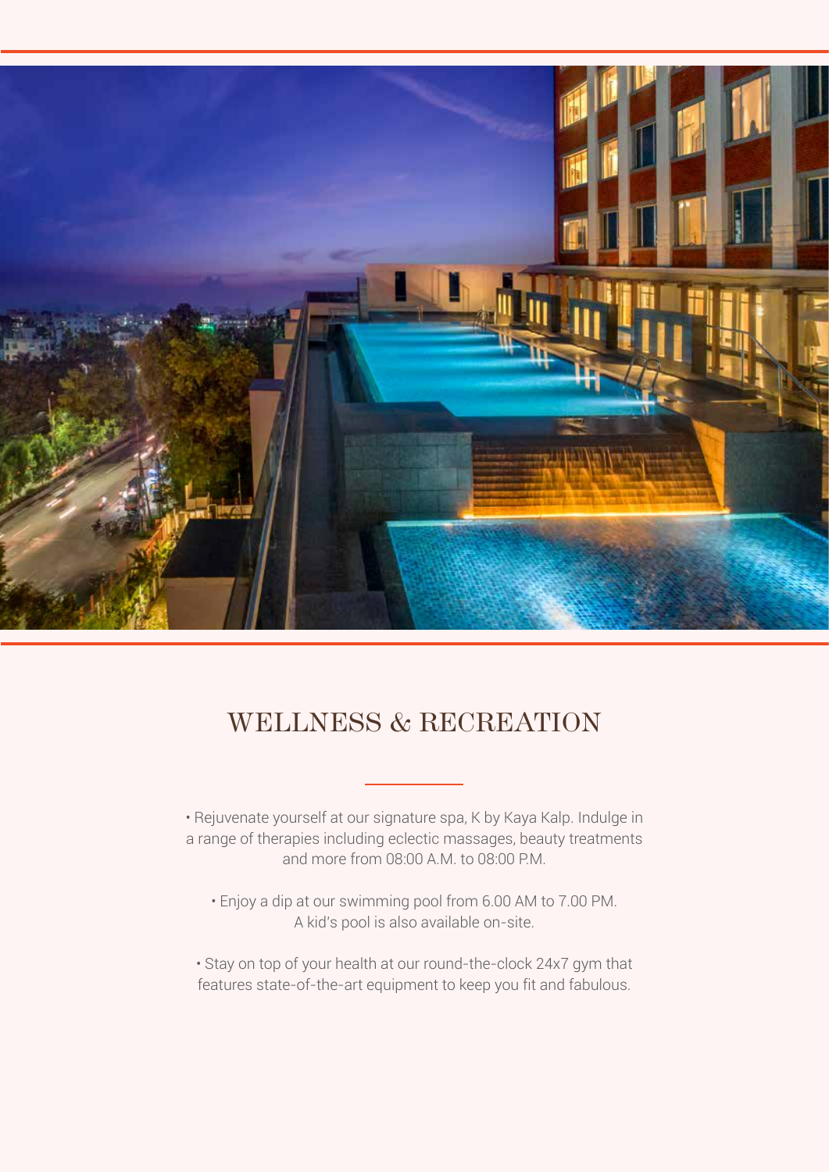

### WELLNESS & RECREATION

• Rejuvenate yourself at our signature spa, K by Kaya Kalp. Indulge in a range of therapies including eclectic massages, beauty treatments and more from 08:00 A.M. to 08:00 P.M.

• Enjoy a dip at our swimming pool from 6.00 AM to 7.00 PM. A kid's pool is also available on-site.

• Stay on top of your health at our round-the-clock 24x7 gym that features state-of-the-art equipment to keep you fit and fabulous.